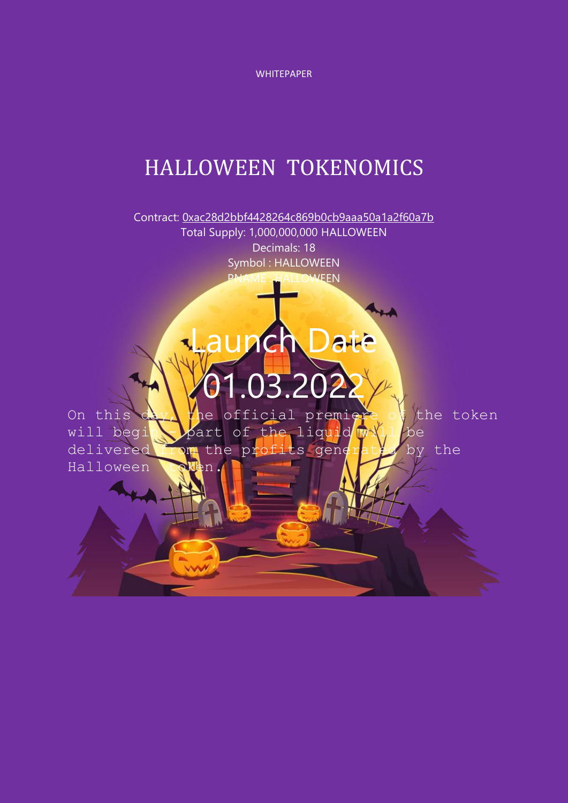WHITEPAPER

# HALLOWEEN TOKENOMICS

Contract: [0xac28d2bbf4428264c869b0cb9aaa50a1a2f60a7b](https://bscscan.com/token/0xac28d2bbf4428264c869b0cb9aaa50a1a2f60a7b) Total Supply: 1,000,000,000 HALLOWEEN Decimals: 18 Symbol : HALLOWEEN **HALLOWEEN** 

unch Date

On this  $dx$ , the official premiere of the token will begin - part of the liquid will be delivered from the profits generated by the Halloween

.03.202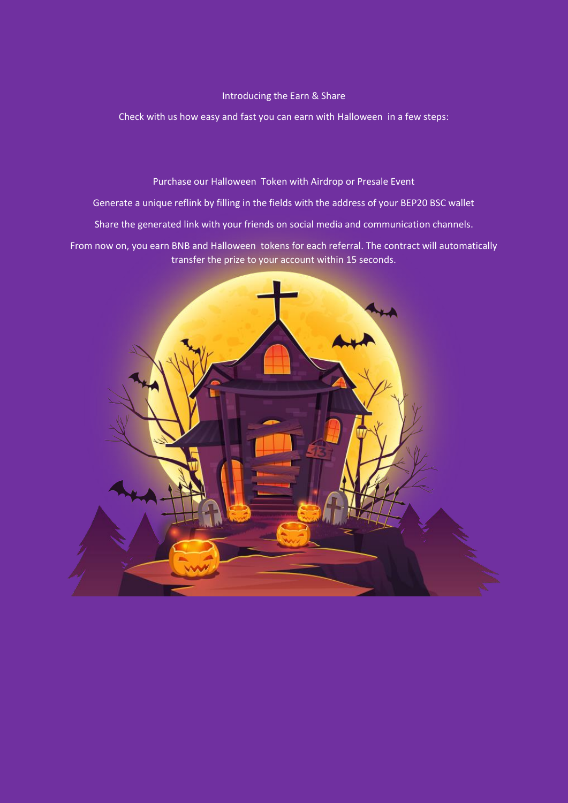## Introducing the Earn & Share

Check with us how easy and fast you can earn with Halloween in a few steps:

Purchase our Halloween Token with Airdrop or Presale Event

Generate a unique reflink by filling in the fields with the address of your BEP20 BSC wallet

Share the generated link with your friends on social media and communication channels.

From now on, you earn BNB and Halloween tokens for each referral. The contract will automatically transfer the prize to your account within 15 seconds.

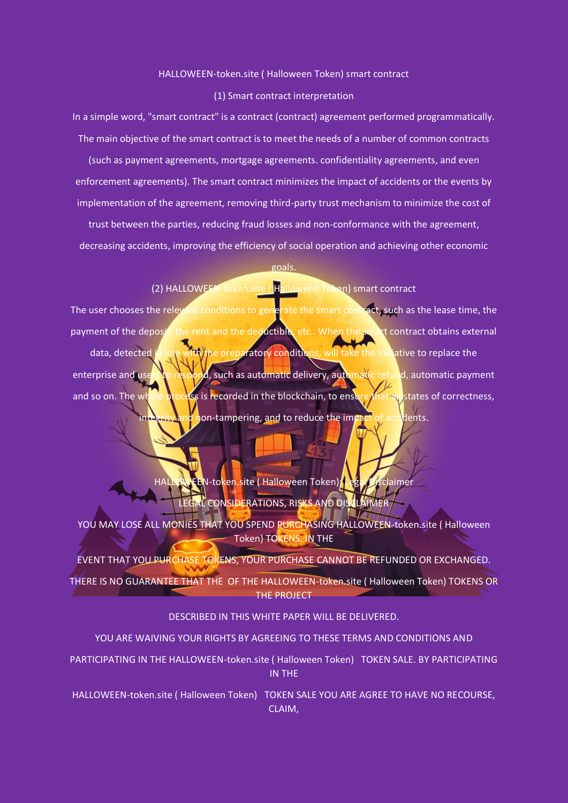## HALLOWEEN-token.site ( Halloween Token) smart contract

## (1) Smart contract interpretation

In a simple word, "smart contract" is a contract (contract) agreement performed programmatically. The main objective of the smart contract is to meet the needs of a number of common contracts

(such as payment agreements, mortgage agreements. confidentiality agreements, and even enforcement agreements). The smart contract minimizes the impact of accidents or the events by implementation of the agreement, removing third-party trust mechanism to minimize the cost of

trust between the parties, reducing fraud losses and non-conformance with the agreement, decreasing accidents, improving the efficiency of social operation and achieving other economic

## goals.

# (2) HALLOWEEN-token.site ( Halloween Token) smart contract

The user chooses the relevant conditions to generate the smart contract, such as the lease time, the payment of the deposit, the rent and the deductible, etc.. When the smart contract obtains external data, detected in line with the preparatory conditions, will take the initiative to replace the enterprise and users to respond, such as automatic delivery, automatic refund, automatic payment and so on. The whole process is recorded in the blockchain, to ensure that all states of correctness, non-tampering, and to reduce the impact of accidents.

N-token.site ( Halloween Token): Legal Disclaimer LEGAL CONSIDERATIONS, RISKS AND DISCLAIMER

YOU MAY LOSE ALL MONIES THAT YOU SPEND PURCHASING HALLOWEEN-token.site ( Halloween Token) TOKENS. IN THE

EVENT THAT YOU PURCHASE TOKENS, YOUR PURCHASE CANNOT BE REFUNDED OR EXCHANGED. THERE IS NO GUARANTEE THAT THE OF THE HALLOWEEN-token.site ( Halloween Token) TOKENS OR THE PROJECT

## DESCRIBED IN THIS WHITE PAPER WILL BE DELIVERED.

# YOU ARE WAIVING YOUR RIGHTS BY AGREEING TO THESE TERMS AND CONDITIONS AND

PARTICIPATING IN THE HALLOWEEN-token.site ( Halloween Token) TOKEN SALE. BY PARTICIPATING IN THE

HALLOWEEN-token.site ( Halloween Token) TOKEN SALE YOU ARE AGREE TO HAVE NO RECOURSE, CLAIM,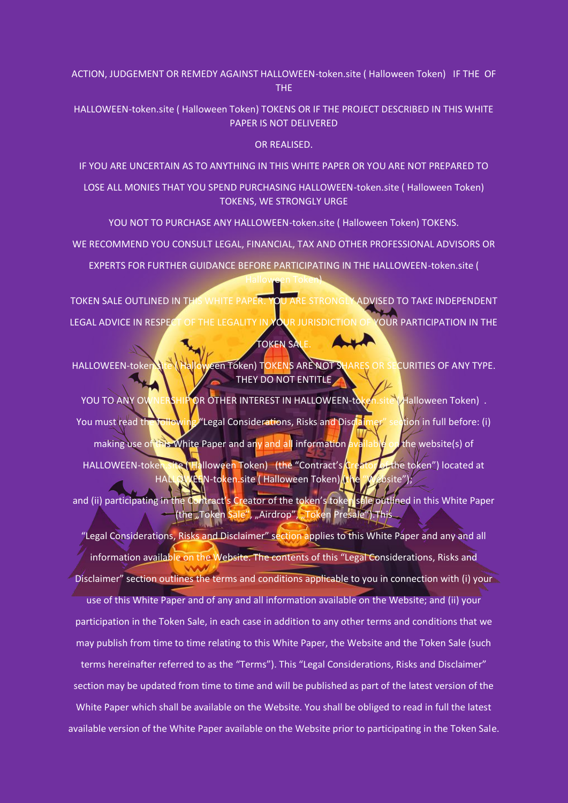ACTION, JUDGEMENT OR REMEDY AGAINST HALLOWEEN-token.site ( Halloween Token) IF THE OF THE

HALLOWEEN-token.site ( Halloween Token) TOKENS OR IF THE PROJECT DESCRIBED IN THIS WHITE PAPER IS NOT DELIVERED

OR REALISED.

IF YOU ARE UNCERTAIN AS TO ANYTHING IN THIS WHITE PAPER OR YOU ARE NOT PREPARED TO

LOSE ALL MONIES THAT YOU SPEND PURCHASING HALLOWEEN-token.site ( Halloween Token) TOKENS, WE STRONGLY URGE

YOU NOT TO PURCHASE ANY HALLOWEEN-token.site ( Halloween Token) TOKENS.

WE RECOMMEND YOU CONSULT LEGAL, FINANCIAL, TAX AND OTHER PROFESSIONAL ADVISORS OR

EXPERTS FOR FURTHER GUIDANCE BEFORE PARTICIPATING IN THE HALLOWEEN-token.site ( Halloween Token)

TOKEN SALE OUTLINED IN THIS WHITE PAPER. YOU ARE STRONGLY ADVISED TO TAKE INDEPENDENT LEGAL ADVICE IN RESPECT OF THE LEGALITY IN YOUR JURISDICTION OF YOUR PARTICIPATION IN THE

TOKEN SALE.

HALLOWEEN-token.site ( Halloween Token) TOKENS ARE NOT SHARES OR SECURITIES OF ANY TYPE. THEY DO NOT ENTITLE

YOU TO ANY OWNERSHIP OR OTHER INTEREST IN HALLOWEEN-token.site (Halloween Token). You must read the following "Legal Considerations, Risks and Disclaimer" section in full before: (i) making use of this White Paper and any and all information available on the website(s) of HALLOWEEN-token.site (Halloween Token) (the "Contract's Creator of the token") located at KEEN-token.site ( Halloween Token) (t

and (ii) participating in the Contract's Creator of the token's token sale outlined in this White Paper (the "Token <mark>Sale"</mark>, "Airdrop", "Token Presale").This

"Legal Considerations, Risks and Disclaimer" section applies to this White Paper and any and all information available on the Website. The contents of this "Legal Considerations, Risks and Disclaimer" section outlines the terms and conditions applicable to you in connection with (i) your use of this White Paper and of any and all information available on the Website; and (ii) your participation in the Token Sale, in each case in addition to any other terms and conditions that we may publish from time to time relating to this White Paper, the Website and the Token Sale (such

terms hereinafter referred to as the "Terms"). This "Legal Considerations, Risks and Disclaimer" section may be updated from time to time and will be published as part of the latest version of the White Paper which shall be available on the Website. You shall be obliged to read in full the latest available version of the White Paper available on the Website prior to participating in the Token Sale.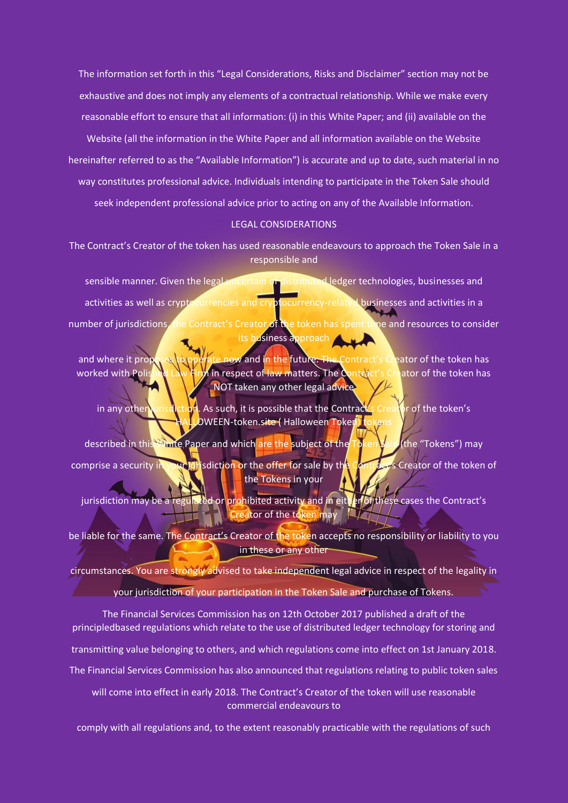The information set forth in this "Legal Considerations, Risks and Disclaimer" section may not be exhaustive and does not imply any elements of a contractual relationship. While we make every reasonable effort to ensure that all information: (i) in this White Paper; and (ii) available on the Website (all the information in the White Paper and all information available on the Website hereinafter referred to as the "Available Information") is accurate and up to date, such material in no way constitutes professional advice. Individuals intending to participate in the Token Sale should seek independent professional advice prior to acting on any of the Available Information.

# LEGAL CONSIDERATIONS

The Contract's Creator of the token has used reasonable endeavours to approach the Token Sale in a responsible and

sensible manner. Given the legal uncertain of distributed ledger technologies, businesses and activities as well as cryptocurrencies and cryptocurrency-related businesses and activities in a number of jurisdictions, the Contract's Creator of the token has spent time and resources to consider its business approach

and where it proposes to operate now and in the future. The Contract's Creator of the token has worked with Polished Law Firm in respect of law matters. The Contract's Creator of the token has NOT taken any other legal advice

in any other jurisdiction. As such, it is possible that the Contract's Creator of the token's OWEEN-token.site ( Halloween Token) t

described in this White Paper and which are the subject of the Token Sale (the "Tokens") may comprise a security in your jurisdiction or the offer for sale by the Contract's Creator of the token of the Tokens in your

jurisdiction may be a regulated or prohibited activity and in either of these cases the Contract's Creator of the token may  $\frac{1}{2}$ 

be liable for the same. The Contract's Creator of the token accepts no responsibility or liability to you in these or any other

circumstances. You are strongly advised to take independent legal advice in respect of the legality in

**Example 10 your jurisdiction of your participation in the Token Sale and purchase of Tokens.** 

The Financial Services Commission has on 12th October 2017 published a draft of the principledbased regulations which relate to the use of distributed ledger technology for storing and transmitting value belonging to others, and which regulations come into effect on 1st January 2018. The Financial Services Commission has also announced that regulations relating to public token sales

will come into effect in early 2018. The Contract's Creator of the token will use reasonable commercial endeavours to

comply with all regulations and, to the extent reasonably practicable with the regulations of such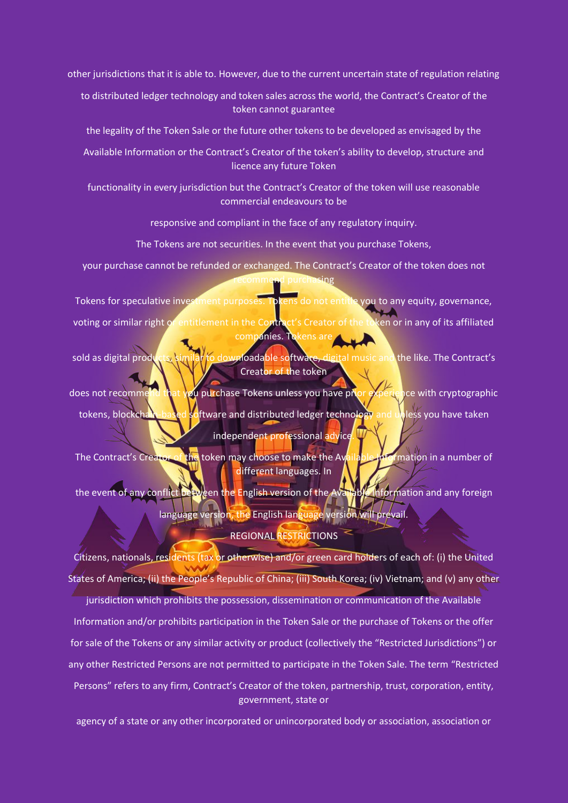other jurisdictions that it is able to. However, due to the current uncertain state of regulation relating

to distributed ledger technology and token sales across the world, the Contract's Creator of the token cannot guarantee

the legality of the Token Sale or the future other tokens to be developed as envisaged by the

Available Information or the Contract's Creator of the token's ability to develop, structure and licence any future Token

functionality in every jurisdiction but the Contract's Creator of the token will use reasonable commercial endeavours to be

responsive and compliant in the face of any regulatory inquiry.

The Tokens are not securities. In the event that you purchase Tokens,

your purchase cannot be refunded or exchanged. The Contract's Creator of the token does not recommend purchasing

Tokens for speculative investment purposes. Tokens do not entitle you to any equity, governance, voting or similar right or entitlement in the Contract's Creator of the token or in any of its affiliated companies. Tokens are

sold as digital products, similar to downloadable software, digital music and the like. The Contract's Creator of the token

does not recommend that you purchase Tokens unless you have prior experience with cryptographic tokens, blockchain-based software and distributed ledger technology and unless you have taken independent professional advice.

The Contract's Creator of the token may choose to make the Available Information in a number of different languages. In

the event of any conflict between the English version of the Available Information and any foreign language version, the English language version/will prevail.

# REGIONAL RESTRICTIONS

Citizens, nationals, residents (tax or otherwise) and/or green card holders of each of: (i) the United States of America; (ii) the People's Republic of China; (iii) South Korea; (iv) Vietnam; and (v) any other

jurisdiction which prohibits the possession, dissemination or communication of the Available Information and/or prohibits participation in the Token Sale or the purchase of Tokens or the offer for sale of the Tokens or any similar activity or product (collectively the "Restricted Jurisdictions") or any other Restricted Persons are not permitted to participate in the Token Sale. The term "Restricted Persons" refers to any firm, Contract's Creator of the token, partnership, trust, corporation, entity, government, state or

agency of a state or any other incorporated or unincorporated body or association, association or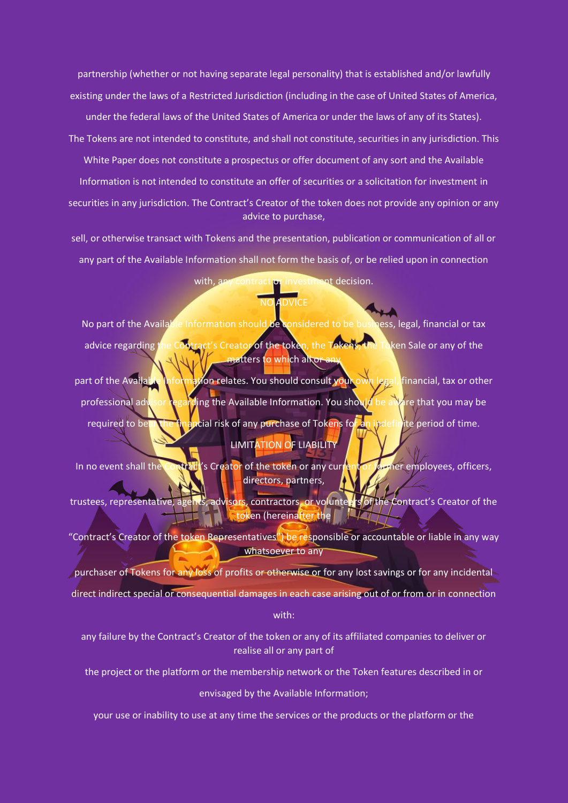partnership (whether or not having separate legal personality) that is established and/or lawfully existing under the laws of a Restricted Jurisdiction (including in the case of United States of America, under the federal laws of the United States of America or under the laws of any of its States).

The Tokens are not intended to constitute, and shall not constitute, securities in any jurisdiction. This White Paper does not constitute a prospectus or offer document of any sort and the Available Information is not intended to constitute an offer of securities or a solicitation for investment in securities in any jurisdiction. The Contract's Creator of the token does not provide any opinion or any advice to purchase,

sell, or otherwise transact with Tokens and the presentation, publication or communication of all or any part of the Available Information shall not form the basis of, or be relied upon in connection

# with, any contract or investment decision.

NO ADVICE

No part of the Available Information should be considered to be business, legal, financial or tax advice regarding the Contract's Creator of the token, the Tokens, the Token Sale or any of the matters to which al<del>kor</del>

part of the Available Information relates. You should consult your own legal, financial, tax or other professional advisor regarding the Available Information. You should be aware that you may be required to bear the financial risk of any purchase of Tokens for an indefinite period of time. LIMITATION OF LIABILITY

In no event shall the Contract's Creator of the token or any current or former employees, officers, directors, partners,

trustees, representative, agents, advisors, contractors, or volunteers of the Contract's Creator of the 147 token (hereinafter the

"Contract's Creator of the token Representatives") be responsible or accountable or liable in any way whatsoever to any

purchaser of Tokens for any loss of profits or otherwise or for any lost savings or for any incidental direct indirect special or consequential damages in each case arising out of or from or in connection with:

any failure by the Contract's Creator of the token or any of its affiliated companies to deliver or realise all or any part of

the project or the platform or the membership network or the Token features described in or

envisaged by the Available Information;

your use or inability to use at any time the services or the products or the platform or the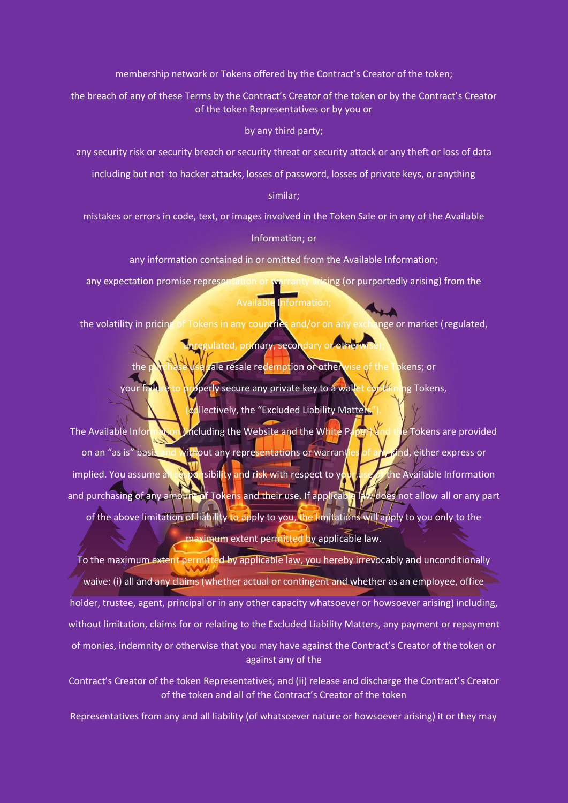membership network or Tokens offered by the Contract's Creator of the token;

the breach of any of these Terms by the Contract's Creator of the token or by the Contract's Creator of the token Representatives or by you or

by any third party;

any security risk or security breach or security threat or security attack or any theft or loss of data

including but not to hacker attacks, losses of password, losses of private keys, or anything

similar;

mistakes or errors in code, text, or images involved in the Token Sale or in any of the Available

Information; or

any information contained in or omitted from the Available Information;

any expectation promise representation or warranty arising (or purportedly arising) from the Available Information;

the volatility in pricing of Tokens in any countries and/or on any exchange or market (regulated,

gulated, primary, secondary or other

the purchase use sale resale redemption or otherwise of the Tokens; or your failure to properly secure any private key to a wallet containing Tokens,

collectively, the "Excluded Liability Matters'

The Available Information (including the Website and the White Paper) and the Tokens are provided on an "as is" basis and without any representations or warranties of any kind, either express or implied. You assume all responsibility and risk with respect to your use of the Available Information and purchasing of any amount of Tokens and their use. If applicable law does not allow all or any part of the above limitation of liability to apply to you, the limitations will apply to you only to the maximum extent permitted by applicable law.

To the maximum extent permitted by applicable law, you hereby irrevocably and unconditionally waive: (i) all and any claims (whether actual or contingent and whether as an employee, office holder, trustee, agent, principal or in any other capacity whatsoever or howsoever arising) including, without limitation, claims for or relating to the Excluded Liability Matters, any payment or repayment of monies, indemnity or otherwise that you may have against the Contract's Creator of the token or against any of the

Contract's Creator of the token Representatives; and (ii) release and discharge the Contract's Creator of the token and all of the Contract's Creator of the token

Representatives from any and all liability (of whatsoever nature or howsoever arising) it or they may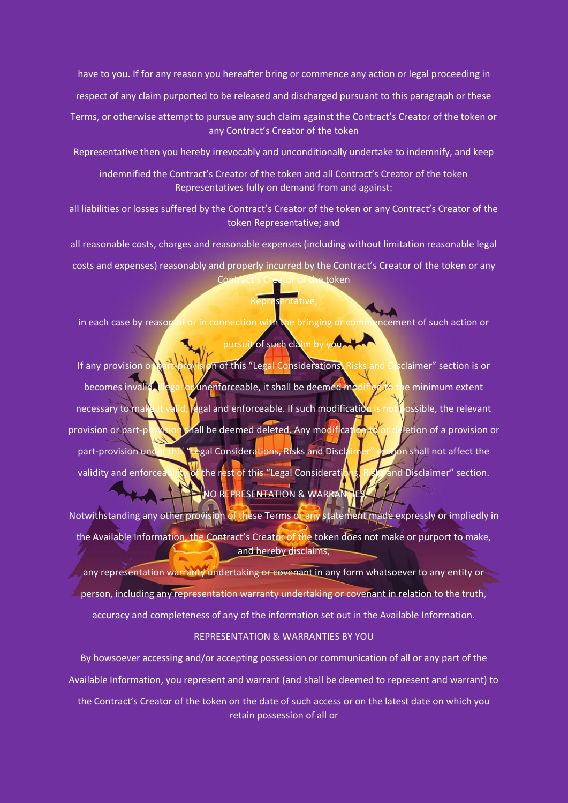have to you. If for any reason you hereafter bring or commence any action or legal proceeding in

respect of any claim purported to be released and discharged pursuant to this paragraph or these

Terms, or otherwise attempt to pursue any such claim against the Contract's Creator of the token or any Contract's Creator of the token

Representative then you hereby irrevocably and unconditionally undertake to indemnify, and keep

indemnified the Contract's Creator of the token and all Contract's Creator of the token Representatives fully on demand from and against:

all liabilities or losses suffered by the Contract's Creator of the token or any Contract's Creator of the token Representative; and

all reasonable costs, charges and reasonable expenses (including without limitation reasonable legal

costs and expenses) reasonably and properly incurred by the Contract's Creator of the token or any Contract's Creator of the token

# esentative,

in each case by reason of or in connection with the bringing or commencement of such action or

# pursuit of such claim by you.

If any provision or part-provision of this "Legal Considerations, Risks and Disclaimer" section is or becomes invalid, llegal or unenforceable, it shall be deemed modified to the minimum extent necessary to make it valid, legal and enforceable. If such modification is not possible, the relevant provision or part-provision shall be deemed deleted. Any modification to or deletion of a provision or part-provision under this "Legal Considerations, Risks and Disclaimer" section shall not affect the validity and enforceability of the rest of this "Legal Considerations, Risks and Disclaimer" section. NO REPRESENTATION & WARRANTIES

Notwithstanding any other provision of these Terms or any statement made expressly or impliedly in the Available Information, the Contract's Creator of the token does not make or purport to make, and hereby disclaims,

any representation warranty undertaking or covenant in any form whatsoever to any entity or person, including any representation warranty undertaking or covenant in relation to the truth, accuracy and completeness of any of the information set out in the Available Information.

# REPRESENTATION & WARRANTIES BY YOU

By howsoever accessing and/or accepting possession or communication of all or any part of the Available Information, you represent and warrant (and shall be deemed to represent and warrant) to

the Contract's Creator of the token on the date of such access or on the latest date on which you retain possession of all or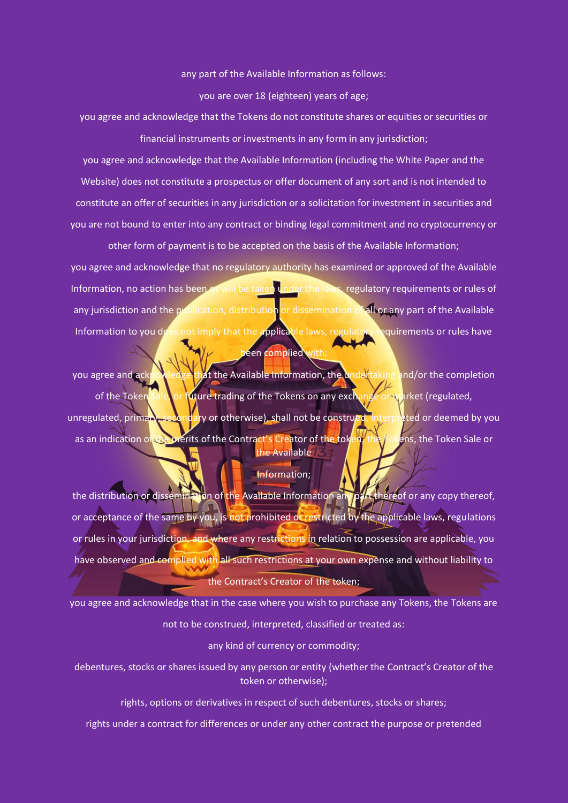#### any part of the Available Information as follows:

you are over 18 (eighteen) years of age;

you agree and acknowledge that the Tokens do not constitute shares or equities or securities or financial instruments or investments in any form in any jurisdiction;

you agree and acknowledge that the Available Information (including the White Paper and the Website) does not constitute a prospectus or offer document of any sort and is not intended to constitute an offer of securities in any jurisdiction or a solicitation for investment in securities and you are not bound to enter into any contract or binding legal commitment and no cryptocurrency or

other form of payment is to be accepted on the basis of the Available Information; you agree and acknowledge that no regulatory authority has examined or approved of the Available Information, no action has been or will be taken under the laws, regulatory requirements or rules of any jurisdiction and the publication, distribution or dissemination of all or any part of the Available Information to you does not imply that the applicable laws, regulatory requirements or rules have een complied

you agree and acknowledge that the Available Information, the undertaking and/or the completion of the Token Sale, or future trading of the Tokens on any exchange or market (regulated, unregulated, primary, secondary or otherwise), shall not be construed, interpreted or deemed by you as an indication of the merits of the Contract's Creator of the token, the Tokens, the Token Sale or the Available

## Information;

the distribution or dissemination of the Available Information any part thereof or any copy thereof, or acceptance of the same by you, is not prohibited or restricted by the applicable laws, regulations or rules in your jurisdiction, and where any restrictions in relation to possession are applicable, you have observed and complied with all such restrictions at your own expense and without liability to the Contract's Creator of the token;

you agree and acknowledge that in the case where you wish to purchase any Tokens, the Tokens are not to be construed, interpreted, classified or treated as:

any kind of currency or commodity;

debentures, stocks or shares issued by any person or entity (whether the Contract's Creator of the token or otherwise);

rights, options or derivatives in respect of such debentures, stocks or shares;

rights under a contract for differences or under any other contract the purpose or pretended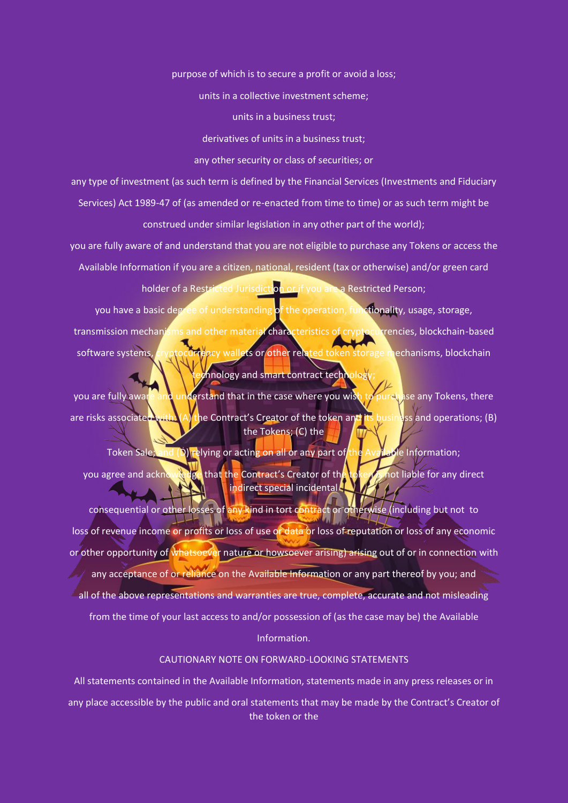purpose of which is to secure a profit or avoid a loss;

units in a collective investment scheme;

units in a business trust;

derivatives of units in a business trust;

any other security or class of securities; or

any type of investment (as such term is defined by the Financial Services (Investments and Fiduciary Services) Act 1989-47 of (as amended or re-enacted from time to time) or as such term might be construed under similar legislation in any other part of the world);

you are fully aware of and understand that you are not eligible to purchase any Tokens or access the Available Information if you are a citizen, national, resident (tax or otherwise) and/or green card holder of a Restricted Jurisdiction or if you are a Restricted Person;

you have a basic degree of understanding of the operation, functionality, usage, storage, transmission mechanisms and other material characteristics of cryptocurrencies, blockchain-based software systems, cryptocurrency wallets or other related token storage mechanisms, blockchain chnology and smart contract technology

you are fully aware and understand that in the case where you wish to purehase any Tokens, there are risks associated with: (A) the Contract's Creator of the token and its business and operations; (B) the Tokens; (C) the

Token Sale; and (D) relying or acting on all or any part of the Available Information; you agree and acknowledge that the Contract's Creator of the token is not liable for any direct indirect special incidental

consequential or other losses of any kind in tort contract or otherwise (including but not to loss of revenue income or profits or loss of use or data or loss of reputation or loss of any economic or other opportunity of whatsoever nature or howsoever arising) arising out of or in connection with any acceptance of or reliance on the Available Information or any part thereof by you; and all of the above representations and warranties are true, complete, accurate and not misleading from the time of your last access to and/or possession of (as the case may be) the Available Information.

## CAUTIONARY NOTE ON FORWARD-LOOKING STATEMENTS

All statements contained in the Available Information, statements made in any press releases or in any place accessible by the public and oral statements that may be made by the Contract's Creator of the token or the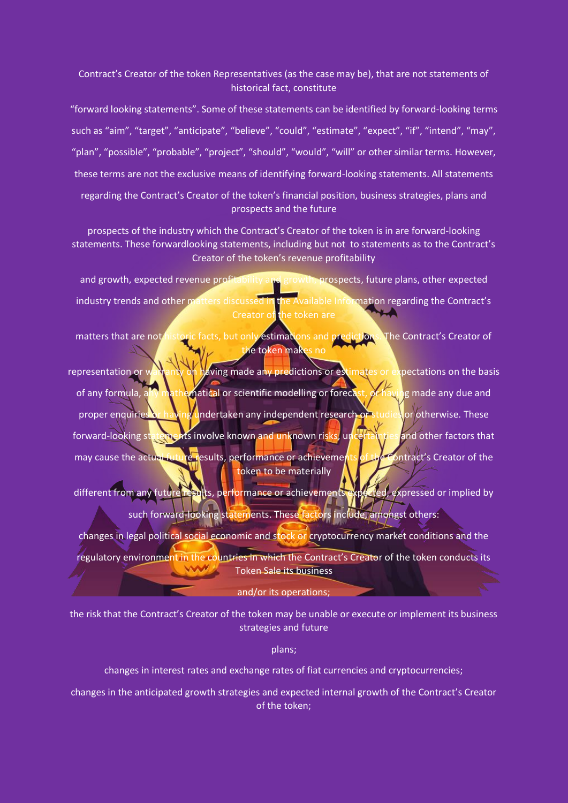# Contract's Creator of the token Representatives (as the case may be), that are not statements of historical fact, constitute

"forward looking statements". Some of these statements can be identified by forward-looking terms such as "aim", "target", "anticipate", "believe", "could", "estimate", "expect", "if", "intend", "may", "plan", "possible", "probable", "project", "should", "would", "will" or other similar terms. However, these terms are not the exclusive means of identifying forward-looking statements. All statements regarding the Contract's Creator of the token's financial position, business strategies, plans and prospects and the future

prospects of the industry which the Contract's Creator of the token is in are forward-looking statements. These forwardlooking statements, including but not to statements as to the Contract's Creator of the token's revenue profitability

and growth, expected revenue profitability and growth, prospects, future plans, other expected industry trends and other matters discussed in the Available Information regarding the Contract's Creator of the token are

matters that are not historic facts, but only estimations and predictions. The Contract's Creator of te token mak

representation or walranty on having made any predictions or estimates or expectations on the basis of any formula, any mathematical or scientific modelling or forecast, or having made any due and proper enquiries or having undertaken any independent research of studies or otherwise. These forward-looking statements involve known and unknown risks, uncertainties and other factors that may cause the actual future results, performance or achievements of the Contract's Creator of the token to be materially

different from any future results, performance or achievements expected, expressed or implied by such forward-looking statements. These factors include, amongst others:

changes in legal political social economic and stock or cryptocurrency market conditions and the regulatory environment in the countries in which the Contract's Creator of the token conducts its **WWW** Token Sale its business

## and/or its operations;

the risk that the Contract's Creator of the token may be unable or execute or implement its business strategies and future

plans;

changes in interest rates and exchange rates of fiat currencies and cryptocurrencies;

changes in the anticipated growth strategies and expected internal growth of the Contract's Creator of the token;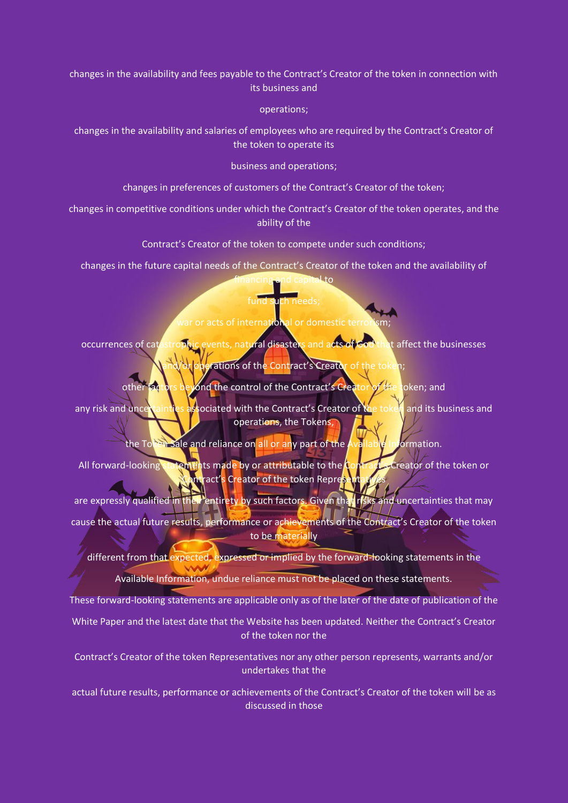changes in the availability and fees payable to the Contract's Creator of the token in connection with its business and

operations;

changes in the availability and salaries of employees who are required by the Contract's Creator of the token to operate its

business and operations;

changes in preferences of customers of the Contract's Creator of the token;

changes in competitive conditions under which the Contract's Creator of the token operates, and the ability of the

Contract's Creator of the token to compete under such conditions;

changes in the future capital needs of the Contract's Creator of the token and the availability of ancing and capital to

# fund such needs;

# war or acts of international or domestic terr

occurrences of catastrophic events, natural disasters and acts of God that affect the businesses or operations of the Contract's Creator of the token

other factors beyond the control of the Contract's Creator of the token; and

any risk and unce taintles associated with the Contract's Creator of the token and its business and operations, the Tokens,

the Token Sale and reliance on all or any part of the Available Information.

All forward-looking statements made by or attributable to the Contract's Creator of the token or ntract's Creator of the token Repre<mark>s</mark>

are expressly qualified in their entirety by such factors. Given that risks and uncertainties that may cause the actual future results, performance or achievements of the Contract's Creator of the token to be materially

different from that expected, expressed or implied by the forward-looking statements in the Available Information, undue reliance must not be placed on these statements.

These forward-looking statements are applicable only as of the later of the date of publication of the

White Paper and the latest date that the Website has been updated. Neither the Contract's Creator of the token nor the

Contract's Creator of the token Representatives nor any other person represents, warrants and/or undertakes that the

actual future results, performance or achievements of the Contract's Creator of the token will be as discussed in those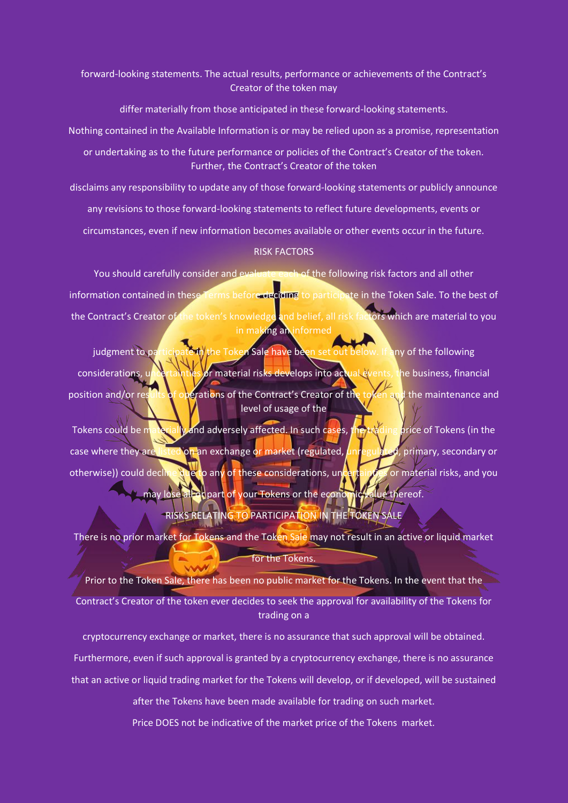forward-looking statements. The actual results, performance or achievements of the Contract's Creator of the token may

differ materially from those anticipated in these forward-looking statements.

Nothing contained in the Available Information is or may be relied upon as a promise, representation

or undertaking as to the future performance or policies of the Contract's Creator of the token. Further, the Contract's Creator of the token

disclaims any responsibility to update any of those forward-looking statements or publicly announce

any revisions to those forward-looking statements to reflect future developments, events or

circumstances, even if new information becomes available or other events occur in the future.

## RISK FACTORS

You should carefully consider and evaluate each of the following risk factors and all other information contained in these Terms before deciding to participate in the Token Sale. To the best of the Contract's Creator of the token's knowledge and belief, all risk factors which are material to you in making an informed

judgment to participate in the Token Sale have been set out below. If any of the following considerations, uncertainties or material risks develops into actual events, the business, financial position and/or results of operations of the Contract's Creator of the token and the maintenance and level of usage of the

Tokens could be materially and adversely affected. In such cases, the trading price of Tokens (in the case where they are listed on an exchange or market (regulated, *unregulated*, primary, secondary or otherwise)) could decline due to any of these considerations, uncertainties or material risks, and you may lose all of part of your Tokens or the economic value thereof.

# RISKS RELATING TO PARTICIPATION IN THE TOKEN SALE

There is no prior market for Tokens and the Token Sale may not result in an active or liquid market for the Tokens.

Prior to the Token Sale, there has been no public market for the Tokens. In the event that the Contract's Creator of the token ever decides to seek the approval for availability of the Tokens for trading on a

cryptocurrency exchange or market, there is no assurance that such approval will be obtained. Furthermore, even if such approval is granted by a cryptocurrency exchange, there is no assurance that an active or liquid trading market for the Tokens will develop, or if developed, will be sustained

after the Tokens have been made available for trading on such market.

Price DOES not be indicative of the market price of the Tokens market.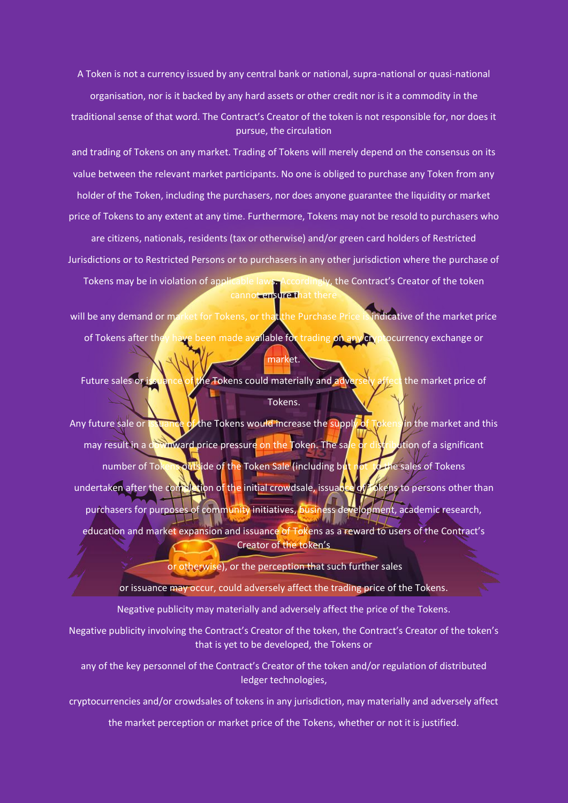A Token is not a currency issued by any central bank or national, supra-national or quasi-national

organisation, nor is it backed by any hard assets or other credit nor is it a commodity in the traditional sense of that word. The Contract's Creator of the token is not responsible for, nor does it pursue, the circulation

and trading of Tokens on any market. Trading of Tokens will merely depend on the consensus on its value between the relevant market participants. No one is obliged to purchase any Token from any holder of the Token, including the purchasers, nor does anyone guarantee the liquidity or market price of Tokens to any extent at any time. Furthermore, Tokens may not be resold to purchasers who are citizens, nationals, residents (tax or otherwise) and/or green card holders of Restricted Jurisdictions or to Restricted Persons or to purchasers in any other jurisdiction where the purchase of Tokens may be in violation of applicable laws. Accordingly, the Contract's Creator of the token

will be any demand or market for Tokens, or that the Purchase Price is indicative of the market price of Tokens after they have been made available for trading on any cryptocurrency exchange or market.

cannot ensure that there

Future sales or issuance of the Tokens could materially and adversely affect the market price of Tokens.

Any future sale or issuance of the Tokens would increase the supply of Tokens in the market and this may result in a downward price pressure on the Token. The sale or distribution of a significant number of Tokens outside of the Token Sale (including but not to the sales of Tokens undertaken after the completion of the initial crowdsale, issuance of Tokens to persons other than purchasers for purposes of community initiatives, business development, academic research, education and market expansion and issuance of Tokens as a reward to users of the Contract's Creator of the token's

or otherwise), or the perception that such further sales

or issuance may occur, could adversely affect the trading price of the Tokens.

Negative publicity may materially and adversely affect the price of the Tokens.

Negative publicity involving the Contract's Creator of the token, the Contract's Creator of the token's that is yet to be developed, the Tokens or

any of the key personnel of the Contract's Creator of the token and/or regulation of distributed ledger technologies,

cryptocurrencies and/or crowdsales of tokens in any jurisdiction, may materially and adversely affect

the market perception or market price of the Tokens, whether or not it is justified.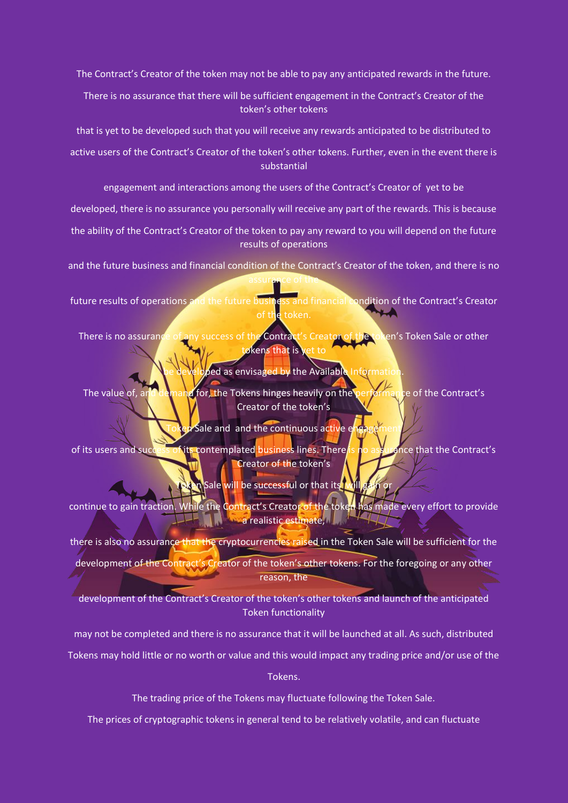The Contract's Creator of the token may not be able to pay any anticipated rewards in the future.

There is no assurance that there will be sufficient engagement in the Contract's Creator of the token's other tokens

that is yet to be developed such that you will receive any rewards anticipated to be distributed to

active users of the Contract's Creator of the token's other tokens. Further, even in the event there is substantial

engagement and interactions among the users of the Contract's Creator of yet to be

developed, there is no assurance you personally will receive any part of the rewards. This is because

the ability of the Contract's Creator of the token to pay any reward to you will depend on the future results of operations

and the future business and financial condition of the Contract's Creator of the token, and there is no assurance of the

future results of operations and the future business and financial condition of the Contract's Creator

There is no assurance of any success of the Contract's Creator of the token's Token Sale or other tokens that is

ped as envisaged by the Available Informat

The value of, and demand for, the Tokens hinges heavily on the performance of the Contract's Creator of the token's

 $\epsilon$  Sale and and the continuous active  $\epsilon$ 

of its users and success of its contemplated business lines. There is no assurance that the Contract's Creator of the token's

**T** Sale will be successful or that its will

continue to gain traction. While the Contract's Creator of the token has made every effort to provide **a realistic estimate, and the realistic estimate,** 

there is also no assurance that the cryptocurrencies raised in the Token Sale will be sufficient for the development of the Contract's Creator of the token's other tokens. For the foregoing or any other reason, the

development of the Contract's Creator of the token's other tokens and launch of the anticipated Token functionality

may not be completed and there is no assurance that it will be launched at all. As such, distributed

Tokens may hold little or no worth or value and this would impact any trading price and/or use of the

Tokens.

The trading price of the Tokens may fluctuate following the Token Sale.

The prices of cryptographic tokens in general tend to be relatively volatile, and can fluctuate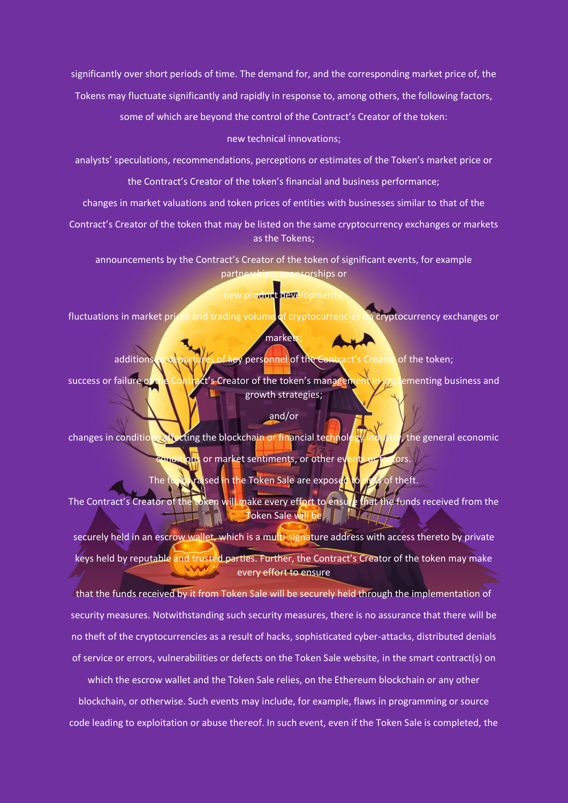significantly over short periods of time. The demand for, and the corresponding market price of, the

Tokens may fluctuate significantly and rapidly in response to, among others, the following factors,

some of which are beyond the control of the Contract's Creator of the token:

#### new technical innovations;

analysts' speculations, recommendations, perceptions or estimates of the Token's market price or

the Contract's Creator of the token's financial and business performance;

changes in market valuations and token prices of entities with businesses similar to that of the

Contract's Creator of the token that may be listed on the same cryptocurrency exchanges or markets as the Tokens;

announcements by the Contract's Creator of the token of significant events, for example partnerships, sponsorships or

# new product development

fluctuations in market prices and trading volume of cryptocurrencies on cryptocurrency exchanges or

# markets

additions or departures of key personnel of the Contract's Creator of the token;

success or failure of the Contract's Creator of the token's management in implementing business and growth strategies;

# and/or

changes in conditions affecting the blockchain or financial technology industry, the general economic cons or market sentiments, or other ey

The funds raised in the Token Sale are exposed to risks of theft.

The Contract's Creator of the token will make every effort to ensure that the funds received from the **Token Sale will be | | LLT** 

securely held in an escrow wallet, which is a multi-signature address with access thereto by private keys held by reputable and trusted parties. Further, the Contract's Creator of the token may make every effort to ensure

that the funds received by it from Token Sale will be securely held through the implementation of security measures. Notwithstanding such security measures, there is no assurance that there will be no theft of the cryptocurrencies as a result of hacks, sophisticated cyber-attacks, distributed denials of service or errors, vulnerabilities or defects on the Token Sale website, in the smart contract(s) on

which the escrow wallet and the Token Sale relies, on the Ethereum blockchain or any other blockchain, or otherwise. Such events may include, for example, flaws in programming or source code leading to exploitation or abuse thereof. In such event, even if the Token Sale is completed, the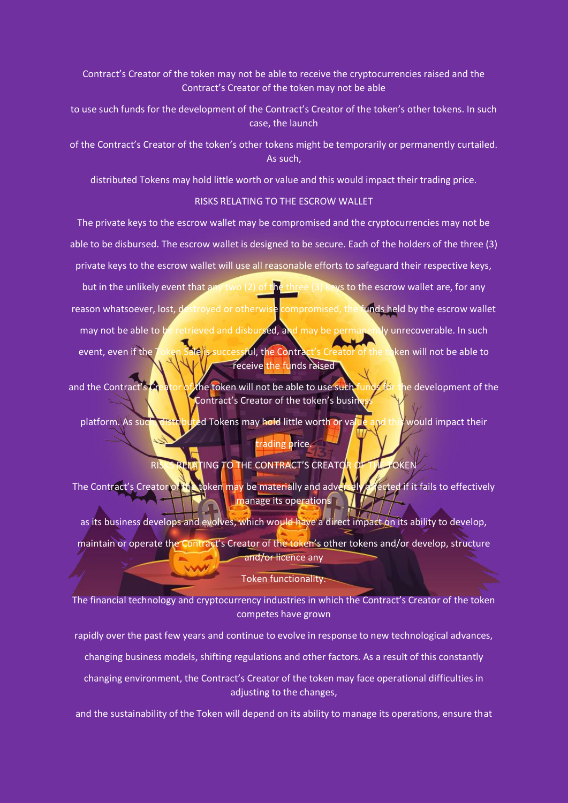Contract's Creator of the token may not be able to receive the cryptocurrencies raised and the Contract's Creator of the token may not be able

to use such funds for the development of the Contract's Creator of the token's other tokens. In such case, the launch

of the Contract's Creator of the token's other tokens might be temporarily or permanently curtailed. As such,

distributed Tokens may hold little worth or value and this would impact their trading price.

## RISKS RELATING TO THE ESCROW WALLET

The private keys to the escrow wallet may be compromised and the cryptocurrencies may not be able to be disbursed. The escrow wallet is designed to be secure. Each of the holders of the three (3) private keys to the escrow wallet will use all reasonable efforts to safeguard their respective keys, but in the unlikely event that any two (2) of the three (3) keys to the escrow wallet are, for any reason whatsoever, lost, destroyed or otherwise compromised, the funds held by the escrow wallet may not be able to be retrieved and disbursed, and may be permanently unrecoverable. In such event, even if the Token Sale is successful, the Contract's Creator of the token will not be able to receive the funds raised

and the Contract's Creator of the token will not be able to use such funds for the development of the Contract's Creator of the token's busine

platform. As such, distributed Tokens may hold little worth or value and this would impact their trading price.

# RISKS RELATING TO THE CONTRACT'S CREATOR OF THE TOKEN

The Contract's Creator of the token may be materially and adversely a fected if it fails to effectively manage its operations

as its business develops and evolves, which would have a direct impact on its ability to develop, maintain or operate the Contract's Creator of the token's other tokens and/or develop, structure and/or licence any

# Token functionality.

ww

The financial technology and cryptocurrency industries in which the Contract's Creator of the token competes have grown

rapidly over the past few years and continue to evolve in response to new technological advances,

changing business models, shifting regulations and other factors. As a result of this constantly

changing environment, the Contract's Creator of the token may face operational difficulties in adjusting to the changes,

and the sustainability of the Token will depend on its ability to manage its operations, ensure that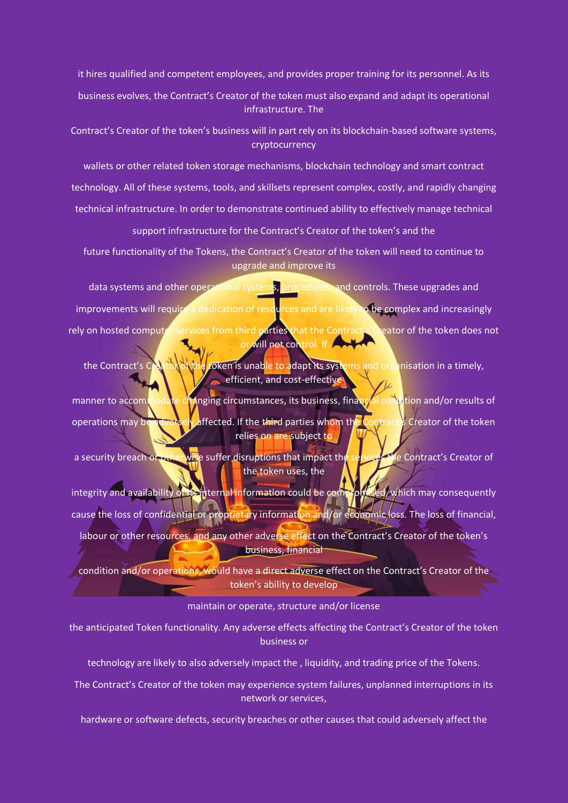it hires qualified and competent employees, and provides proper training for its personnel. As its

business evolves, the Contract's Creator of the token must also expand and adapt its operational infrastructure. The

Contract's Creator of the token's business will in part rely on its blockchain-based software systems, cryptocurrency

wallets or other related token storage mechanisms, blockchain technology and smart contract technology. All of these systems, tools, and skillsets represent complex, costly, and rapidly changing technical infrastructure. In order to demonstrate continued ability to effectively manage technical

support infrastructure for the Contract's Creator of the token's and the

future functionality of the Tokens, the Contract's Creator of the token will need to continue to upgrade and improve its

data systems and other operational systems, procedures, and controls. These upgrades and improvements will require a dedication of resources and are likely to be complex and increasingly rely on hosted computer services from third parties that the Contract's Creator of the token does not or will not control. If

the Contract's Creator of the token is unable to adapt its systems and organisation in a timely, efficient, and cost-effective

manner to accommodate changing circumstances, its business, financial condition and/or results of operations may be adversely affected. If the third parties whom the Contract's Creator of the token relies on are subject to

a security breach or otherwise suffer disruptions that impact the services the Contract's Creator of the token uses, the

integrity and availability of its internal information could be compromised, which may consequently cause the loss of confidential or proprietary information and/or economic loss. The loss of financial, labour or other resources, and any other adverse effect on the Contract's Creator of the token's business, financial

condition and/or operations, would have a direct adverse effect on the Contract's Creator of the token's ability to develop

maintain or operate, structure and/or license

the anticipated Token functionality. Any adverse effects affecting the Contract's Creator of the token business or

technology are likely to also adversely impact the , liquidity, and trading price of the Tokens.

The Contract's Creator of the token may experience system failures, unplanned interruptions in its network or services,

hardware or software defects, security breaches or other causes that could adversely affect the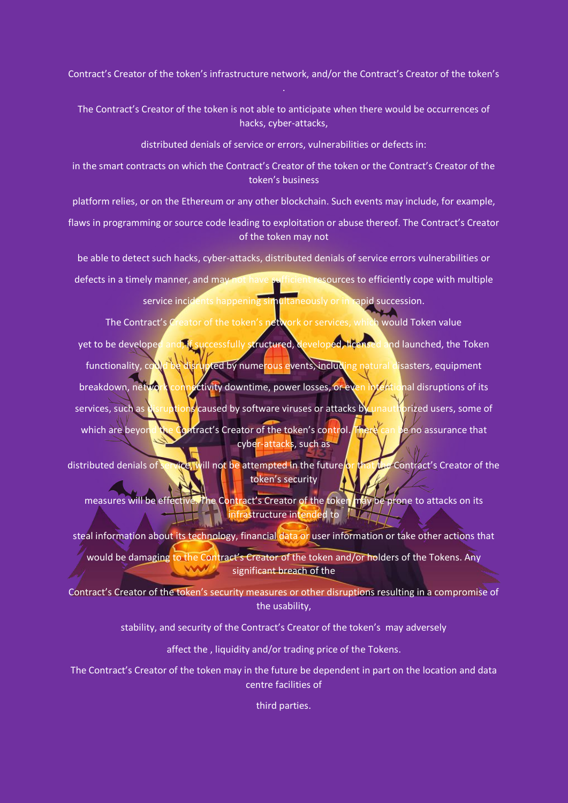Contract's Creator of the token's infrastructure network, and/or the Contract's Creator of the token's

The Contract's Creator of the token is not able to anticipate when there would be occurrences of hacks, cyber-attacks,

distributed denials of service or errors, vulnerabilities or defects in:

in the smart contracts on which the Contract's Creator of the token or the Contract's Creator of the token's business

platform relies, or on the Ethereum or any other blockchain. Such events may include, for example,

flaws in programming or source code leading to exploitation or abuse thereof. The Contract's Creator of the token may not

be able to detect such hacks, cyber-attacks, distributed denials of service errors vulnerabilities or

defects in a timely manner, and may not have sufficient resources to efficiently cope with multiple service incidents happening simultaneously or in rapid succession.

The Contract's Creator of the token's network or services, which would Token value yet to be developed and, if successfully structured, developed, licensed and launched, the Token functionality, could be disrupted by numerous events, including natural disasters, equipment

breakdown, network connectivity downtime, power losses, or even intentional disruptions of its

services, such as disruptions caused by software viruses or attacks by unauthorized users, some of which are beyond the Contract's Creator of the token's control. There can be no assurance that cyber-attacks, such as

distributed denials of service, will not be attempted in the future or that the Contract's Creator of the token's security

measures will be effective. The Contract's Creator of the token may be prone to attacks on its infrastructure intended to  $\mathbb{Z}$ 

steal information about its technology, financial data or user information or take other actions that

would be damaging to the Contract's Creator of the token and/or holders of the Tokens. Any **WWW.** significant breach of the

Contract's Creator of the token's security measures or other disruptions resulting in a compromise of the usability,

stability, and security of the Contract's Creator of the token's may adversely

affect the , liquidity and/or trading price of the Tokens.

The Contract's Creator of the token may in the future be dependent in part on the location and data centre facilities of

third parties.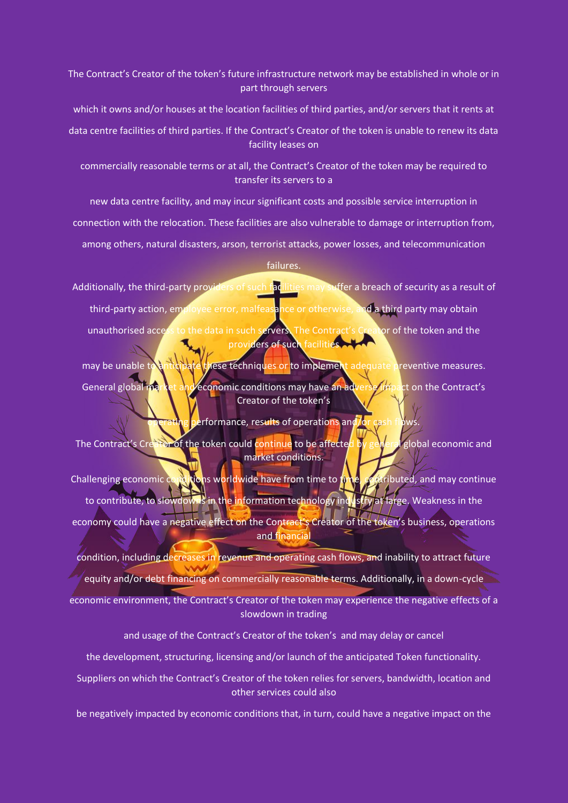The Contract's Creator of the token's future infrastructure network may be established in whole or in part through servers

which it owns and/or houses at the location facilities of third parties, and/or servers that it rents at

data centre facilities of third parties. If the Contract's Creator of the token is unable to renew its data facility leases on

commercially reasonable terms or at all, the Contract's Creator of the token may be required to transfer its servers to a

new data centre facility, and may incur significant costs and possible service interruption in

connection with the relocation. These facilities are also vulnerable to damage or interruption from,

among others, natural disasters, arson, terrorist attacks, power losses, and telecommunication

## failures.

Additionally, the third-party providers of such facilities may suffer a breach of security as a result of third-party action, employee error, malfeasance or otherwise, and a third party may obtain unauthorised access to the data in such servers. The Contract's Creator of the token and the providers of such facilities

may be unable to anticipate these techniques or to implement adequate preventive measures. General global market and economic conditions may have an adverse impact on the Contract's Creator of the token's

erformance, results of operations and/or

The Contract's Creator of the token could continue to be affected by general global economic and market conditions.

Challenging economic conditions worldwide have from time to time, contributed, and may continue to contribute, to slowdowns in the information technology industry at large. Weakness in the economy could have a negative effect on the Contract's Creator of the token's business, operations and financial

condition, including decreases in revenue and operating cash flows, and inability to attract future equity and/or debt financing on commercially reasonable terms. Additionally, in a down-cycle economic environment, the Contract's Creator of the token may experience the negative effects of a slowdown in trading

and usage of the Contract's Creator of the token's and may delay or cancel

the development, structuring, licensing and/or launch of the anticipated Token functionality.

Suppliers on which the Contract's Creator of the token relies for servers, bandwidth, location and other services could also

be negatively impacted by economic conditions that, in turn, could have a negative impact on the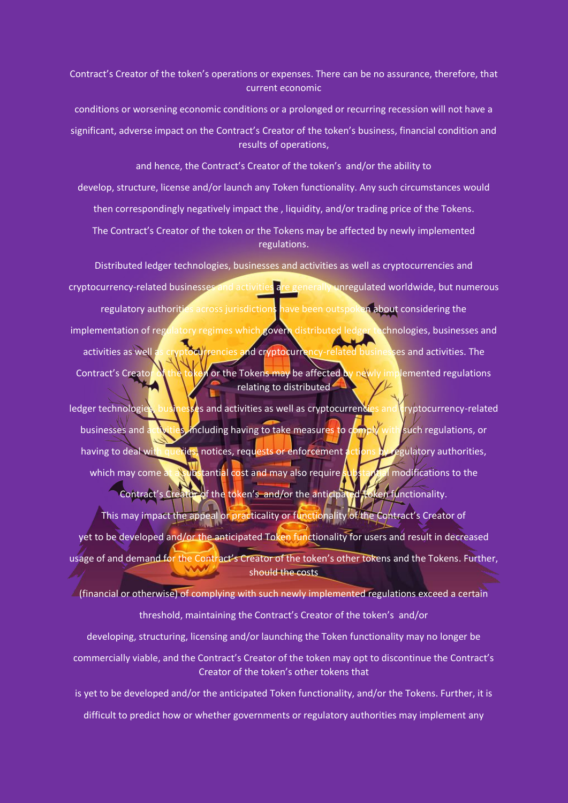Contract's Creator of the token's operations or expenses. There can be no assurance, therefore, that current economic

conditions or worsening economic conditions or a prolonged or recurring recession will not have a

significant, adverse impact on the Contract's Creator of the token's business, financial condition and results of operations,

and hence, the Contract's Creator of the token's and/or the ability to develop, structure, license and/or launch any Token functionality. Any such circumstances would then correspondingly negatively impact the , liquidity, and/or trading price of the Tokens.

The Contract's Creator of the token or the Tokens may be affected by newly implemented regulations.

Distributed ledger technologies, businesses and activities as well as cryptocurrencies and cryptocurrency-related businesses and activities are generally unregulated worldwide, but numerous regulatory authorities across jurisdictions have been outspoken about considering the implementation of regulatory regimes which govern distributed ledger technologies, businesses and activities as well as cryptocurrencies and cryptocurrency-related businesses and activities. The Contract's Creator of the token or the Tokens may be affected by newly implemented regulations relating to distributed

ledger technologies, businesses and activities as well as cryptocurrencies and cryptocurrency-related businesses and activities, including having to take measures to comply with such regulations, or having to deal with queries, notices, requests or enforcement actions by regulatory authorities, which may come at a substantial cost and may also require substantial modifications to the Contract's Creator of the token's and/or the anticipated Token functionality.

This may impact the appeal or practicality or functionality of the Contract's Creator of yet to be developed and/or the anticipated Token functionality for users and result in decreased usage of and demand for the Contract's Creator of the token's other tokens and the Tokens. Further, should the costs

 $\angle$  (financial or otherwise) of complying with such newly implemented regulations exceed a certain threshold, maintaining the Contract's Creator of the token's and/or

developing, structuring, licensing and/or launching the Token functionality may no longer be commercially viable, and the Contract's Creator of the token may opt to discontinue the Contract's Creator of the token's other tokens that

is yet to be developed and/or the anticipated Token functionality, and/or the Tokens. Further, it is difficult to predict how or whether governments or regulatory authorities may implement any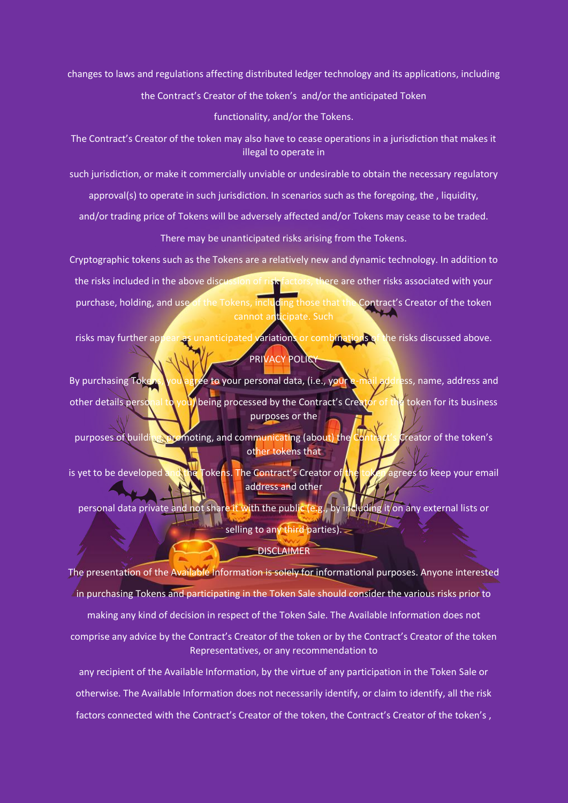changes to laws and regulations affecting distributed ledger technology and its applications, including

the Contract's Creator of the token's and/or the anticipated Token

functionality, and/or the Tokens.

The Contract's Creator of the token may also have to cease operations in a jurisdiction that makes it illegal to operate in

such jurisdiction, or make it commercially unviable or undesirable to obtain the necessary regulatory

approval(s) to operate in such jurisdiction. In scenarios such as the foregoing, the , liquidity,

and/or trading price of Tokens will be adversely affected and/or Tokens may cease to be traded.

There may be unanticipated risks arising from the Tokens.

Cryptographic tokens such as the Tokens are a relatively new and dynamic technology. In addition to the risks included in the above discussion of risk factors, there are other risks associated with your purchase, holding, and use of the Tokens, including those that the Contract's Creator of the token cannot anticipate. Such

risks may further appear as unanticipated variations or combinations of the risks discussed above. PRIVACY POLICY

By purchasing Tokens, you agree to your personal data, (i.e., your e-mail address, name, address and other details personal to you) being processed by the Contract's Creator of the token for its business purposes or the

purposes of building, promoting, and communicating (about) the Contract's Creator of the token's other tokens that

is yet to be developed and the Tokens. The Contract's Creator of the token agrees to keep your email address and other

personal data private and not share it with the public (e.g., by including it on any external lists or selling to any third parties).  $\geq$ 

**DISCLAIMER** 

The presentation of the Available Information is solely for informational purposes. Anyone interested  $\angle$ in purchasing Tokens and participating in the Token Sale should consider the various risks prior to making any kind of decision in respect of the Token Sale. The Available Information does not comprise any advice by the Contract's Creator of the token or by the Contract's Creator of the token Representatives, or any recommendation to

any recipient of the Available Information, by the virtue of any participation in the Token Sale or otherwise. The Available Information does not necessarily identify, or claim to identify, all the risk factors connected with the Contract's Creator of the token, the Contract's Creator of the token's ,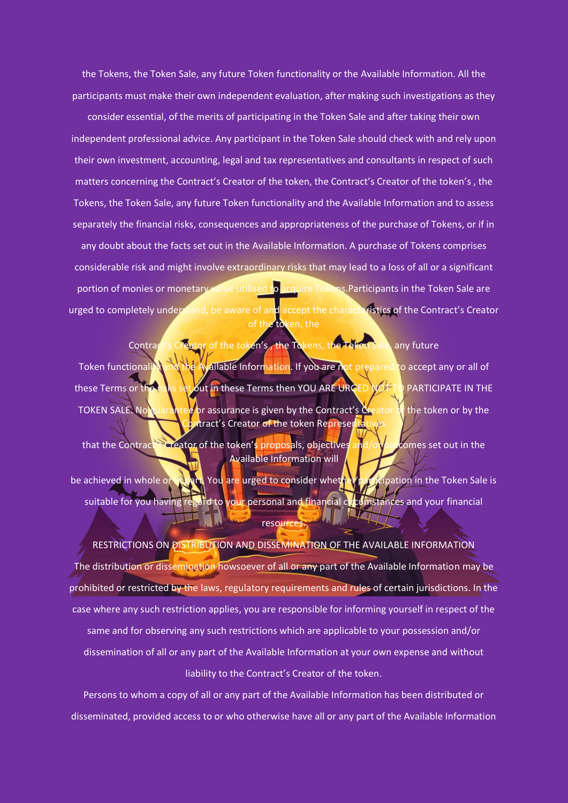the Tokens, the Token Sale, any future Token functionality or the Available Information. All the participants must make their own independent evaluation, after making such investigations as they

consider essential, of the merits of participating in the Token Sale and after taking their own independent professional advice. Any participant in the Token Sale should check with and rely upon their own investment, accounting, legal and tax representatives and consultants in respect of such matters concerning the Contract's Creator of the token, the Contract's Creator of the token's , the Tokens, the Token Sale, any future Token functionality and the Available Information and to assess separately the financial risks, consequences and appropriateness of the purchase of Tokens, or if in any doubt about the facts set out in the Available Information. A purchase of Tokens comprises considerable risk and might involve extraordinary risks that may lead to a loss of all or a significant portion of monies or monetary value utilised to acquire Tokens. Participants in the Token Sale are urged to completely understand, be aware of and accept the characteristics of the Contract's Creator of the token, the

Contract's Creator of the token's , the Tokens, the Token Sale, any future Token functionality and the Available Information. If you are not prepared to accept any or all of these Terms or the risks set out in these Terms then YOU ARE URGED NOT TO PARTICIPATE IN THE TOKEN SALE. No guarantee or assurance is given by the Contract's Creator of the token or by the **R**tract's Creator of the token Represent

that the Contract's Creator of the token's proposals, objectives and/or outcomes set out in the Available Information will be achieved in whole or in part. You are urged to consider whether participation in the Token Sale is suitable for you having regard to your personal and financial circumstances and your financial resource:

RESTRICTIONS ON DISTRIBUTION AND DISSEMINATION OF THE AVAILABLE INFORMATION The distribution or dissemination howsoever of all or any part of the Available Information may be prohibited or restricted by the laws, regulatory requirements and rules of certain jurisdictions. In the case where any such restriction applies, you are responsible for informing yourself in respect of the same and for observing any such restrictions which are applicable to your possession and/or dissemination of all or any part of the Available Information at your own expense and without liability to the Contract's Creator of the token.

Persons to whom a copy of all or any part of the Available Information has been distributed or disseminated, provided access to or who otherwise have all or any part of the Available Information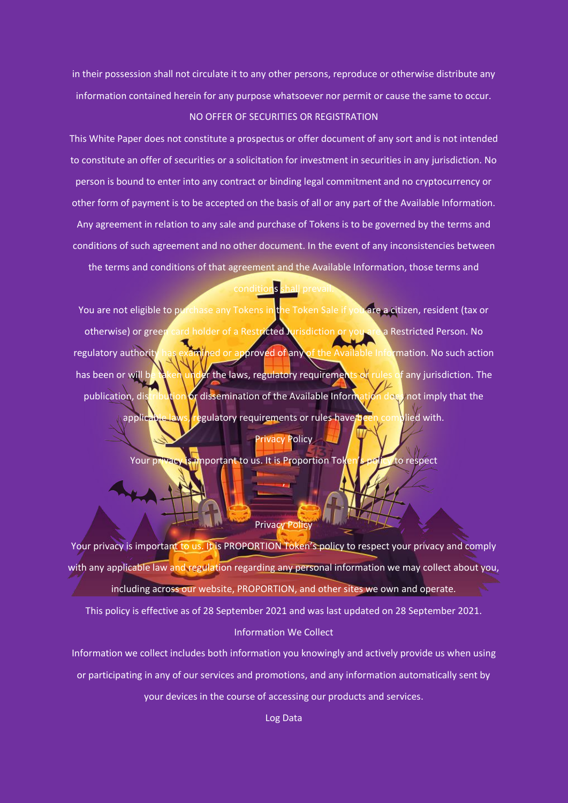in their possession shall not circulate it to any other persons, reproduce or otherwise distribute any information contained herein for any purpose whatsoever nor permit or cause the same to occur. NO OFFER OF SECURITIES OR REGISTRATION

This White Paper does not constitute a prospectus or offer document of any sort and is not intended to constitute an offer of securities or a solicitation for investment in securities in any jurisdiction. No person is bound to enter into any contract or binding legal commitment and no cryptocurrency or other form of payment is to be accepted on the basis of all or any part of the Available Information. Any agreement in relation to any sale and purchase of Tokens is to be governed by the terms and conditions of such agreement and no other document. In the event of any inconsistencies between the terms and conditions of that agreement and the Available Information, those terms and

# conditions shall prevail.

You are not eligible to purchase any Tokens in the Token Sale if you are a citizen, resident (tax or otherwise) or green card holder of a Restricted Jurisdiction or you are a Restricted Person. No regulatory authority has examined or approved of any of the Available Information. No such action has been or will be taken under the laws, regulatory requirements or rules of any jurisdiction. The publication, distribution or dissemination of the Available Information does not imply that the applicable laws, regulatory requirements or rules have been complied with.

## Privacy Policy

Your privacy is important to us. It is Proportion Token's policy to respect

,

#### Privacy Policy

Your privacy is important to us. It is PROPORTION Token's policy to respect your privacy and comply with any applicable law and regulation regarding any personal information we may collect about you, including across our website, PROPORTION, and other sites we own and operate.

This policy is effective as of 28 September 2021 and was last updated on 28 September 2021. Information We Collect

Information we collect includes both information you knowingly and actively provide us when using or participating in any of our services and promotions, and any information automatically sent by your devices in the course of accessing our products and services.

Log Data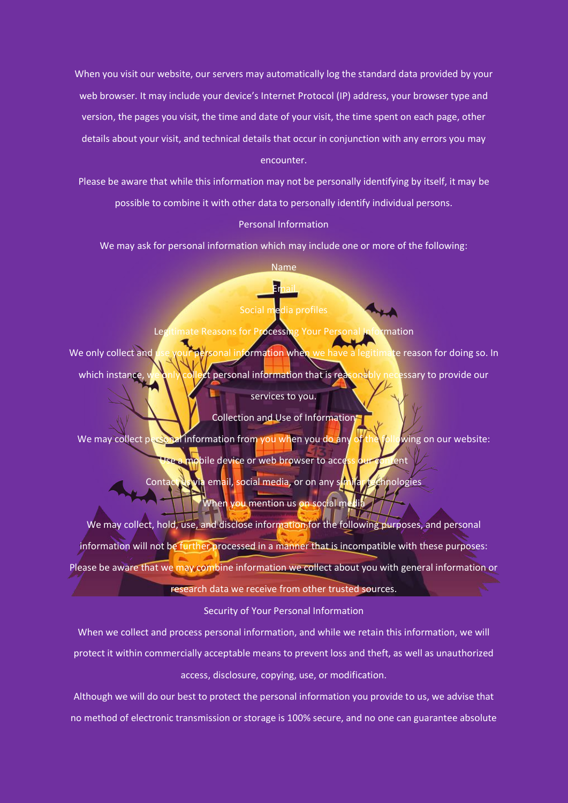When you visit our website, our servers may automatically log the standard data provided by your web browser. It may include your device's Internet Protocol (IP) address, your browser type and version, the pages you visit, the time and date of your visit, the time spent on each page, other details about your visit, and technical details that occur in conjunction with any errors you may encounter.

Please be aware that while this information may not be personally identifying by itself, it may be possible to combine it with other data to personally identify individual persons.

# Personal Information

We may ask for personal information which may include one or more of the following:

Name

Email

# Social media profiles

Legitimate Reasons for Processing Your Personal Information

We only collect and use your personal information when we have a legitimate reason for doing so. In which instance, we only collect personal information that is reasonably necessary to provide our services to you.

Collection and Use of Information We may collect personal information from you when you do any of the following on our website:

> mobile device or web browser to access our content Contact us via email, social media, or on any similar technologies

> > When you mention us on social me

We may collect, hold, use, and disclose information for the following purposes, and personal information will not be further processed in a manner that is incompatible with these purposes: Please be aware that we may combine information we collect about you with general information or research data we receive from other trusted sources.

## Security of Your Personal Information

When we collect and process personal information, and while we retain this information, we will protect it within commercially acceptable means to prevent loss and theft, as well as unauthorized access, disclosure, copying, use, or modification.

Although we will do our best to protect the personal information you provide to us, we advise that no method of electronic transmission or storage is 100% secure, and no one can guarantee absolute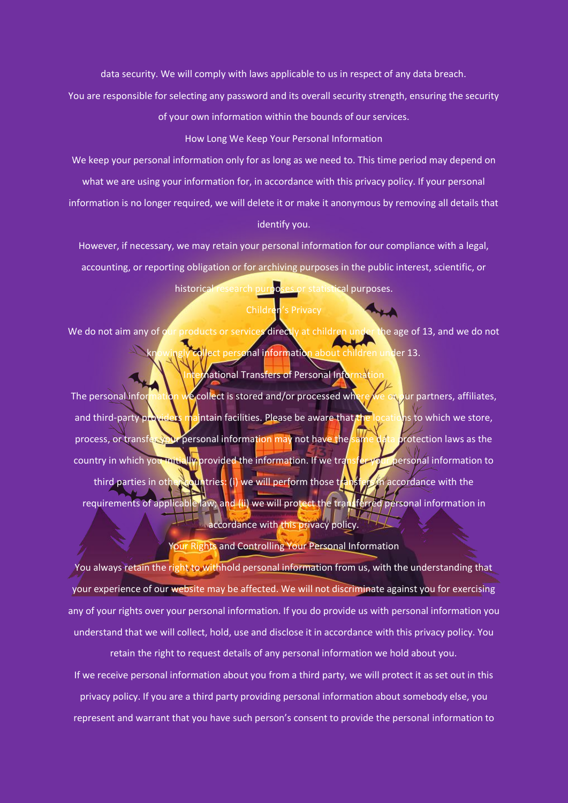data security. We will comply with laws applicable to us in respect of any data breach.

You are responsible for selecting any password and its overall security strength, ensuring the security

of your own information within the bounds of our services.

#### How Long We Keep Your Personal Information

We keep your personal information only for as long as we need to. This time period may depend on what we are using your information for, in accordance with this privacy policy. If your personal

information is no longer required, we will delete it or make it anonymous by removing all details that identify you.

However, if necessary, we may retain your personal information for our compliance with a legal, accounting, or reporting obligation or for archiving purposes in the public interest, scientific, or historical research purposes or statistical purposes.

# Children's Privacy

We do not aim any of our products or services directly at children under the age of 13, and we do not kt personal information about children under 13.

## **Mational Transfers of Personal Information**

The personal information we collect is stored and/or processed where we or our partners, affiliates, and third-party providers maintain facilities. Please be aware that the locations to which we store, process, or transfer your personal information may not have the same data protection laws as the country in which you mitially provided the information. If we transfer-your personal information to third parties in other countries: (i) we will perform those transfer in accordance with the requirements of applicable law; and (ii) we will protect the transferred personal information in accordance with this privacy policy.

# Your Rights and Controlling Your Personal Information

You always retain the right to withhold personal information from us, with the understanding that your experience of our website may be affected. We will not discriminate against you for exercising any of your rights over your personal information. If you do provide us with personal information you understand that we will collect, hold, use and disclose it in accordance with this privacy policy. You

retain the right to request details of any personal information we hold about you. If we receive personal information about you from a third party, we will protect it as set out in this privacy policy. If you are a third party providing personal information about somebody else, you represent and warrant that you have such person's consent to provide the personal information to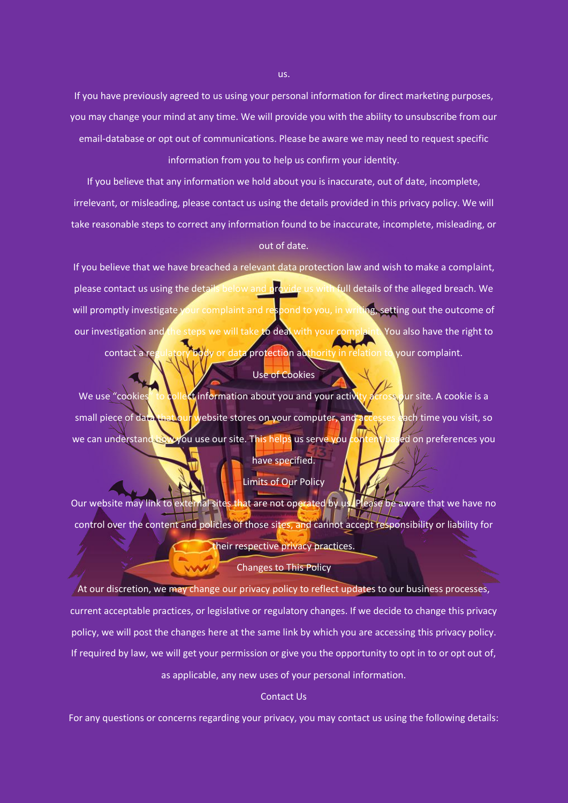If you have previously agreed to us using your personal information for direct marketing purposes, you may change your mind at any time. We will provide you with the ability to unsubscribe from our email-database or opt out of communications. Please be aware we may need to request specific information from you to help us confirm your identity.

If you believe that any information we hold about you is inaccurate, out of date, incomplete, irrelevant, or misleading, please contact us using the details provided in this privacy policy. We will take reasonable steps to correct any information found to be inaccurate, incomplete, misleading, or out of date.

If you believe that we have breached a relevant data protection law and wish to make a complaint, please contact us using the details below and provide us with full details of the alleged breach. We will promptly investigate your complaint and respond to you, in writing, setting out the outcome of our investigation and the steps we will take to deal with your complaint. You also have the right to contact a regulatory body or data protection authority in relation to your complaint.

## Use of Cookies

We use "cookies" to collect information about you and your activity across our site. A cookie is a small piece of data that our website stores on your computer, and accesses each time you visit, so we can understand how you use our site. This helps us serve you content based on preferences you have specified.

## Limits of Our Policy

Our website may link to external sites that are not operated by us. Please be aware that we have no control over the content and policies of those sites, and cannot accept responsibility or liability for their respective privacy practices.

## Changes to This Policy

At our discretion, we may change our privacy policy to reflect updates to our business processes, current acceptable practices, or legislative or regulatory changes. If we decide to change this privacy policy, we will post the changes here at the same link by which you are accessing this privacy policy. If required by law, we will get your permission or give you the opportunity to opt in to or opt out of,

as applicable, any new uses of your personal information.

## Contact Us

For any questions or concerns regarding your privacy, you may contact us using the following details:

us.